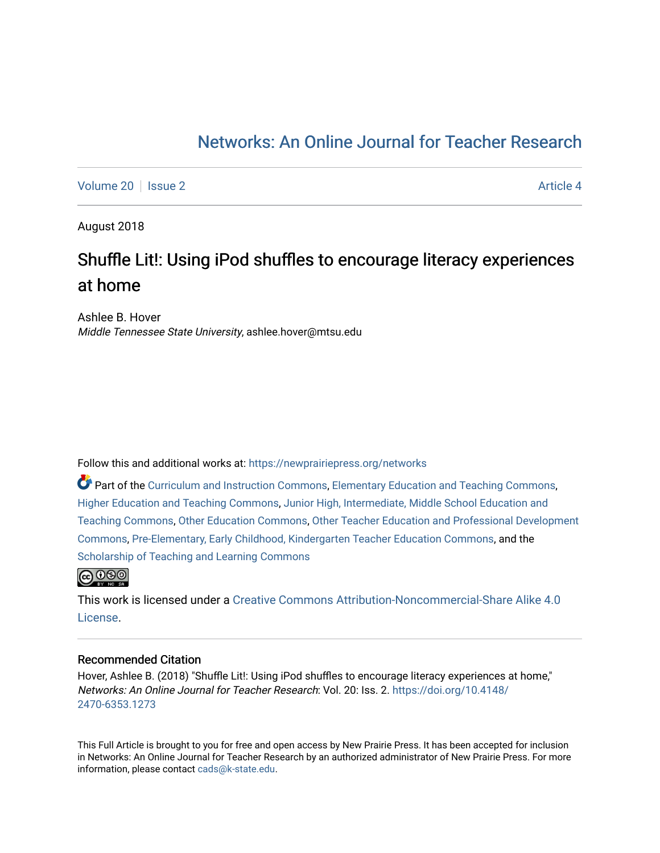## [Networks: An Online Journal for Teacher Research](https://newprairiepress.org/networks)

[Volume 20](https://newprairiepress.org/networks/vol20) | [Issue 2](https://newprairiepress.org/networks/vol20/iss2) Article 4

August 2018

# Shuffle Lit!: Using iPod shuffles to encourage literacy experiences at home

Ashlee B. Hover Middle Tennessee State University, ashlee.hover@mtsu.edu

Follow this and additional works at: [https://newprairiepress.org/networks](https://newprairiepress.org/networks?utm_source=newprairiepress.org%2Fnetworks%2Fvol20%2Fiss2%2F4&utm_medium=PDF&utm_campaign=PDFCoverPages)

Part of the [Curriculum and Instruction Commons,](http://network.bepress.com/hgg/discipline/786?utm_source=newprairiepress.org%2Fnetworks%2Fvol20%2Fiss2%2F4&utm_medium=PDF&utm_campaign=PDFCoverPages) [Elementary Education and Teaching Commons,](http://network.bepress.com/hgg/discipline/805?utm_source=newprairiepress.org%2Fnetworks%2Fvol20%2Fiss2%2F4&utm_medium=PDF&utm_campaign=PDFCoverPages) [Higher Education and Teaching Commons,](http://network.bepress.com/hgg/discipline/806?utm_source=newprairiepress.org%2Fnetworks%2Fvol20%2Fiss2%2F4&utm_medium=PDF&utm_campaign=PDFCoverPages) [Junior High, Intermediate, Middle School Education and](http://network.bepress.com/hgg/discipline/807?utm_source=newprairiepress.org%2Fnetworks%2Fvol20%2Fiss2%2F4&utm_medium=PDF&utm_campaign=PDFCoverPages)  [Teaching Commons](http://network.bepress.com/hgg/discipline/807?utm_source=newprairiepress.org%2Fnetworks%2Fvol20%2Fiss2%2F4&utm_medium=PDF&utm_campaign=PDFCoverPages), [Other Education Commons](http://network.bepress.com/hgg/discipline/811?utm_source=newprairiepress.org%2Fnetworks%2Fvol20%2Fiss2%2F4&utm_medium=PDF&utm_campaign=PDFCoverPages), [Other Teacher Education and Professional Development](http://network.bepress.com/hgg/discipline/810?utm_source=newprairiepress.org%2Fnetworks%2Fvol20%2Fiss2%2F4&utm_medium=PDF&utm_campaign=PDFCoverPages) [Commons](http://network.bepress.com/hgg/discipline/810?utm_source=newprairiepress.org%2Fnetworks%2Fvol20%2Fiss2%2F4&utm_medium=PDF&utm_campaign=PDFCoverPages), [Pre-Elementary, Early Childhood, Kindergarten Teacher Education Commons](http://network.bepress.com/hgg/discipline/808?utm_source=newprairiepress.org%2Fnetworks%2Fvol20%2Fiss2%2F4&utm_medium=PDF&utm_campaign=PDFCoverPages), and the [Scholarship of Teaching and Learning Commons](http://network.bepress.com/hgg/discipline/1328?utm_source=newprairiepress.org%2Fnetworks%2Fvol20%2Fiss2%2F4&utm_medium=PDF&utm_campaign=PDFCoverPages) 



This work is licensed under a [Creative Commons Attribution-Noncommercial-Share Alike 4.0](https://creativecommons.org/licenses/by-nc-sa/4.0/) [License.](https://creativecommons.org/licenses/by-nc-sa/4.0/)

### Recommended Citation

Hover, Ashlee B. (2018) "Shuffle Lit!: Using iPod shuffles to encourage literacy experiences at home," Networks: An Online Journal for Teacher Research: Vol. 20: Iss. 2. [https://doi.org/10.4148/](https://doi.org/10.4148/2470-6353.1273) [2470-6353.1273](https://doi.org/10.4148/2470-6353.1273) 

This Full Article is brought to you for free and open access by New Prairie Press. It has been accepted for inclusion in Networks: An Online Journal for Teacher Research by an authorized administrator of New Prairie Press. For more information, please contact [cads@k-state.edu](mailto:cads@k-state.edu).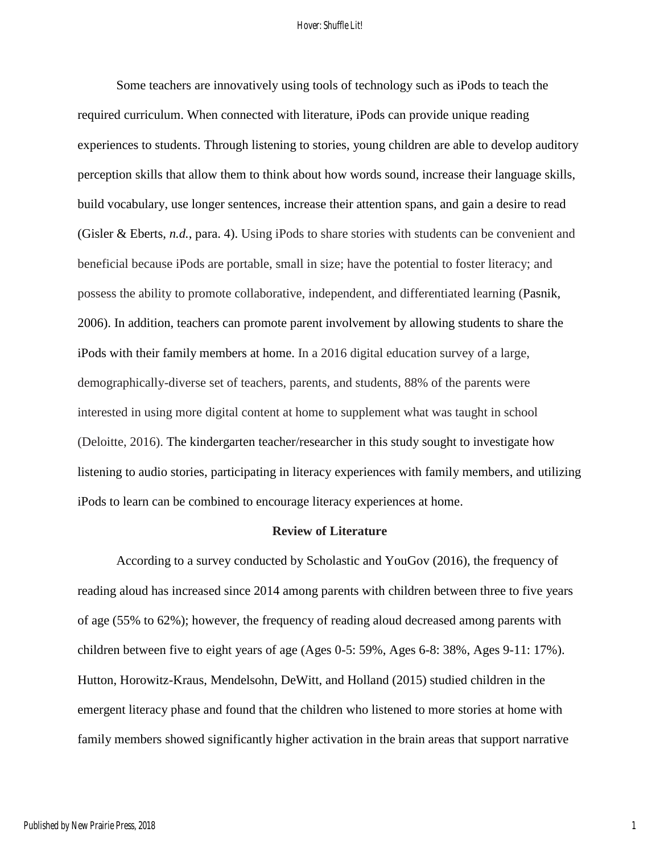Some teachers are innovatively using tools of technology such as iPods to teach the required curriculum. When connected with literature, iPods can provide unique reading experiences to students. Through listening to stories, young children are able to develop auditory perception skills that allow them to think about how words sound, increase their language skills, build vocabulary, use longer sentences, increase their attention spans, and gain a desire to read (Gisler & Eberts, *n.d.*, para. 4). Using iPods to share stories with students can be convenient and beneficial because iPods are portable, small in size; have the potential to foster literacy; and possess the ability to promote collaborative, independent, and differentiated learning (Pasnik, 2006). In addition, teachers can promote parent involvement by allowing students to share the iPods with their family members at home. In a 2016 digital education survey of a large, demographically-diverse set of teachers, parents, and students, 88% of the parents were interested in using more digital content at home to supplement what was taught in school (Deloitte, 2016). The kindergarten teacher/researcher in this study sought to investigate how listening to audio stories, participating in literacy experiences with family members, and utilizing iPods to learn can be combined to encourage literacy experiences at home.

## **Review of Literature**

According to a survey conducted by Scholastic and YouGov (2016), the frequency of reading aloud has increased since 2014 among parents with children between three to five years of age (55% to 62%); however, the frequency of reading aloud decreased among parents with children between five to eight years of age (Ages 0-5: 59%, Ages 6-8: 38%, Ages 9-11: 17%). Hutton, Horowitz-Kraus, Mendelsohn, DeWitt, and Holland (2015) studied children in the emergent literacy phase and found that the children who listened to more stories at home with family members showed significantly higher activation in the brain areas that support narrative

1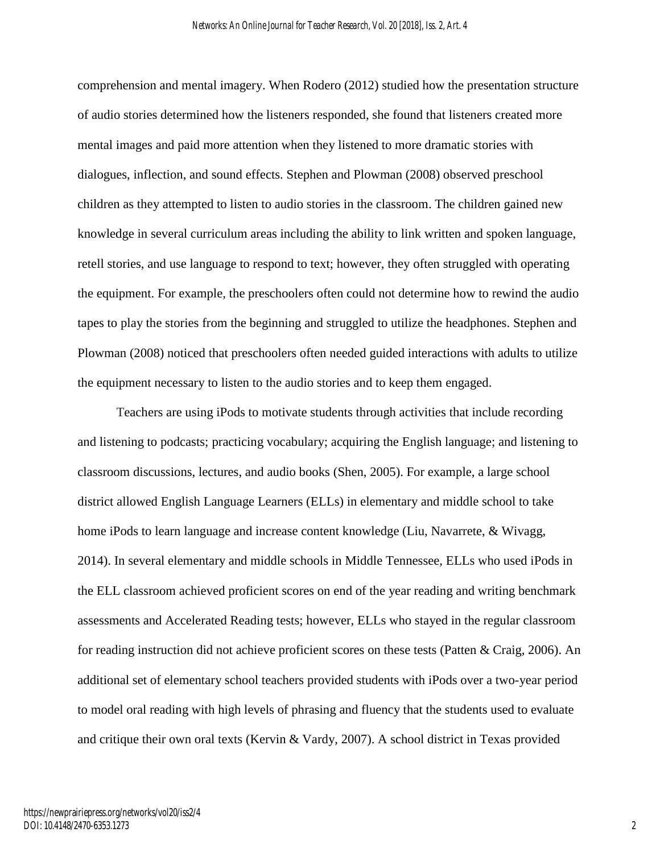comprehension and mental imagery. When Rodero (2012) studied how the presentation structure of audio stories determined how the listeners responded, she found that listeners created more mental images and paid more attention when they listened to more dramatic stories with dialogues, inflection, and sound effects. Stephen and Plowman (2008) observed preschool children as they attempted to listen to audio stories in the classroom. The children gained new knowledge in several curriculum areas including the ability to link written and spoken language, retell stories, and use language to respond to text; however, they often struggled with operating the equipment. For example, the preschoolers often could not determine how to rewind the audio tapes to play the stories from the beginning and struggled to utilize the headphones. Stephen and Plowman (2008) noticed that preschoolers often needed guided interactions with adults to utilize the equipment necessary to listen to the audio stories and to keep them engaged.

Teachers are using iPods to motivate students through activities that include recording and listening to podcasts; practicing vocabulary; acquiring the English language; and listening to classroom discussions, lectures, and audio books (Shen, 2005). For example, a large school district allowed English Language Learners (ELLs) in elementary and middle school to take home iPods to learn language and increase content knowledge (Liu, Navarrete, & Wivagg, 2014). In several elementary and middle schools in Middle Tennessee, ELLs who used iPods in the ELL classroom achieved proficient scores on end of the year reading and writing benchmark assessments and Accelerated Reading tests; however, ELLs who stayed in the regular classroom for reading instruction did not achieve proficient scores on these tests (Patten & Craig, 2006). An additional set of elementary school teachers provided students with iPods over a two-year period to model oral reading with high levels of phrasing and fluency that the students used to evaluate and critique their own oral texts (Kervin & Vardy, 2007). A school district in Texas provided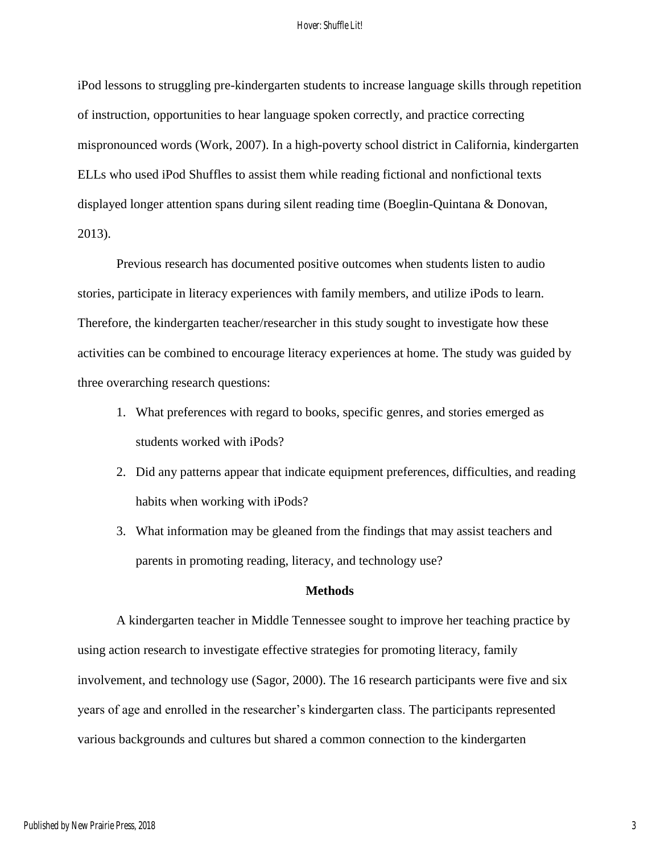iPod lessons to struggling pre-kindergarten students to increase language skills through repetition of instruction, opportunities to hear language spoken correctly, and practice correcting mispronounced words (Work, 2007). In a high-poverty school district in California, kindergarten ELLs who used iPod Shuffles to assist them while reading fictional and nonfictional texts displayed longer attention spans during silent reading time (Boeglin-Quintana & Donovan, 2013).

Previous research has documented positive outcomes when students listen to audio stories, participate in literacy experiences with family members, and utilize iPods to learn. Therefore, the kindergarten teacher/researcher in this study sought to investigate how these activities can be combined to encourage literacy experiences at home. The study was guided by three overarching research questions:

- 1. What preferences with regard to books, specific genres, and stories emerged as students worked with iPods?
- 2. Did any patterns appear that indicate equipment preferences, difficulties, and reading habits when working with iPods?
- 3. What information may be gleaned from the findings that may assist teachers and parents in promoting reading, literacy, and technology use?

## **Methods**

A kindergarten teacher in Middle Tennessee sought to improve her teaching practice by using action research to investigate effective strategies for promoting literacy, family involvement, and technology use (Sagor, 2000). The 16 research participants were five and six years of age and enrolled in the researcher's kindergarten class. The participants represented various backgrounds and cultures but shared a common connection to the kindergarten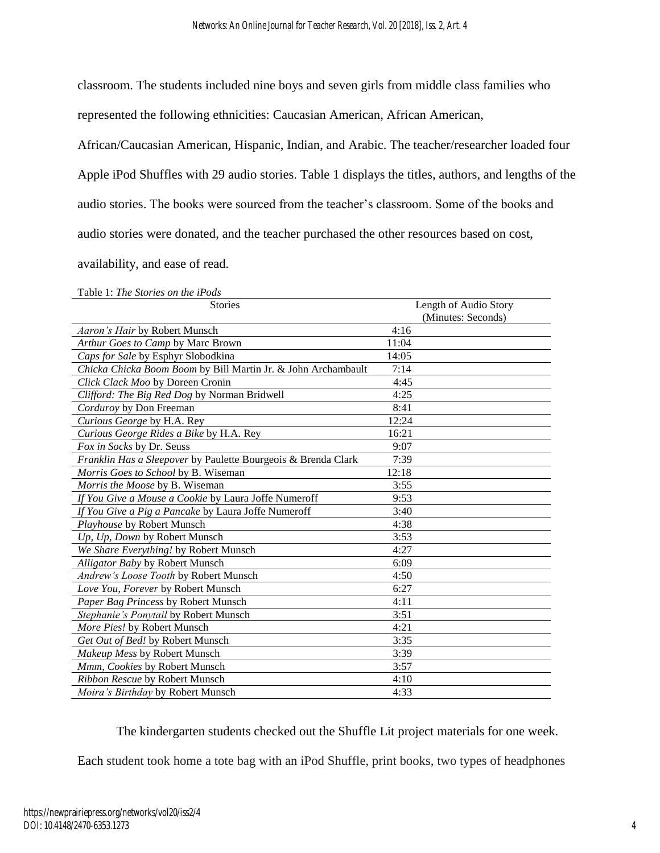classroom. The students included nine boys and seven girls from middle class families who

represented the following ethnicities: Caucasian American, African American,

African/Caucasian American, Hispanic, Indian, and Arabic. The teacher/researcher loaded four Apple iPod Shuffles with 29 audio stories. Table 1 displays the titles, authors, and lengths of the audio stories. The books were sourced from the teacher's classroom. Some of the books and audio stories were donated, and the teacher purchased the other resources based on cost,

availability, and ease of read.

| Table 1: The Stories on the iPods                             |                       |
|---------------------------------------------------------------|-----------------------|
| <b>Stories</b>                                                | Length of Audio Story |
|                                                               | (Minutes: Seconds)    |
| Aaron's Hair by Robert Munsch                                 | 4:16                  |
| Arthur Goes to Camp by Marc Brown                             | 11:04                 |
| Caps for Sale by Esphyr Slobodkina                            | 14:05                 |
| Chicka Chicka Boom Boom by Bill Martin Jr. & John Archambault | 7:14                  |
| Click Clack Moo by Doreen Cronin                              | 4:45                  |
| Clifford: The Big Red Dog by Norman Bridwell                  | 4:25                  |
| Corduroy by Don Freeman                                       | 8:41                  |
| Curious George by H.A. Rey                                    | 12:24                 |
| Curious George Rides a Bike by H.A. Rey                       | 16:21                 |
| Fox in Socks by Dr. Seuss                                     | 9:07                  |
| Franklin Has a Sleepover by Paulette Bourgeois & Brenda Clark | 7:39                  |
| Morris Goes to School by B. Wiseman                           | 12:18                 |
| Morris the Moose by B. Wiseman                                | 3:55                  |
| If You Give a Mouse a Cookie by Laura Joffe Numeroff          | 9:53                  |
| If You Give a Pig a Pancake by Laura Joffe Numeroff           | 3:40                  |
| Playhouse by Robert Munsch                                    | 4:38                  |
| Up, Up, Down by Robert Munsch                                 | 3:53                  |
| We Share Everything! by Robert Munsch                         | 4:27                  |
| Alligator Baby by Robert Munsch                               | 6:09                  |
| Andrew's Loose Tooth by Robert Munsch                         | 4:50                  |
| Love You, Forever by Robert Munsch                            | 6:27                  |
| Paper Bag Princess by Robert Munsch                           | 4:11                  |
| Stephanie's Ponytail by Robert Munsch                         | 3:51                  |
| More Pies! by Robert Munsch                                   | 4:21                  |
| Get Out of Bed! by Robert Munsch                              | 3:35                  |
| Makeup Mess by Robert Munsch                                  | 3:39                  |
| Mmm, Cookies by Robert Munsch                                 | 3:57                  |
| Ribbon Rescue by Robert Munsch                                | 4:10                  |
| Moira's Birthday by Robert Munsch                             | 4:33                  |

The kindergarten students checked out the Shuffle Lit project materials for one week.

Each student took home a tote bag with an iPod Shuffle, print books, two types of headphones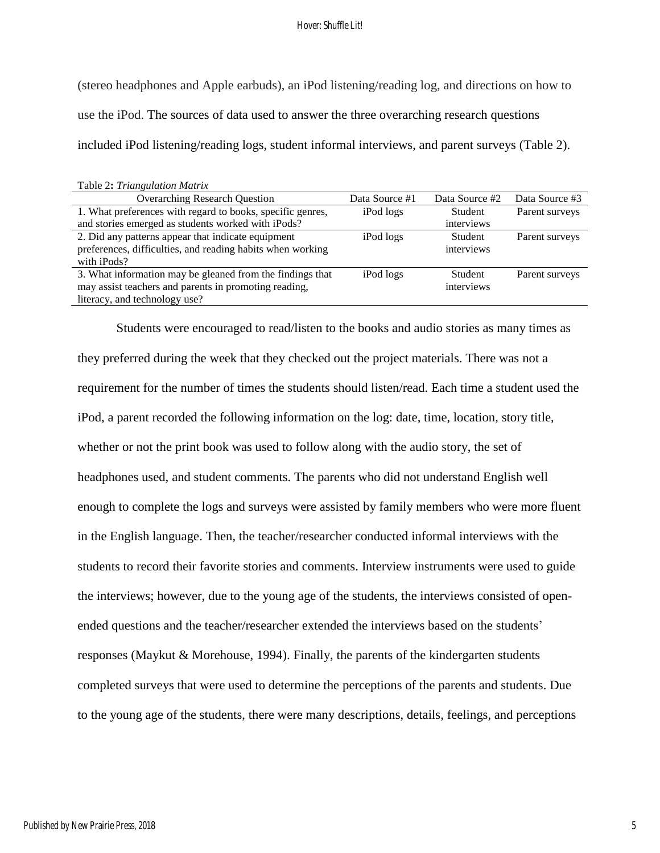(stereo headphones and Apple earbuds), an iPod listening/reading log, and directions on how to use the iPod. The sources of data used to answer the three overarching research questions included iPod listening/reading logs, student informal interviews, and parent surveys (Table 2).

| Table 2: Triangulation Matrix                              |                |                |                |
|------------------------------------------------------------|----------------|----------------|----------------|
| <b>Overarching Research Question</b>                       | Data Source #1 | Data Source #2 | Data Source #3 |
| 1. What preferences with regard to books, specific genres, | iPod logs      | <b>Student</b> | Parent surveys |
| and stories emerged as students worked with iPods?         |                | interviews     |                |
| 2. Did any patterns appear that indicate equipment         | iPod logs      | Student        | Parent surveys |
| preferences, difficulties, and reading habits when working |                | interviews     |                |
| with iPods?                                                |                |                |                |
| 3. What information may be gleaned from the findings that  | iPod logs      | <b>Student</b> | Parent surveys |
| may assist teachers and parents in promoting reading,      |                | interviews     |                |
| literacy, and technology use?                              |                |                |                |

Students were encouraged to read/listen to the books and audio stories as many times as they preferred during the week that they checked out the project materials. There was not a requirement for the number of times the students should listen/read. Each time a student used the iPod, a parent recorded the following information on the log: date, time, location, story title, whether or not the print book was used to follow along with the audio story, the set of headphones used, and student comments. The parents who did not understand English well enough to complete the logs and surveys were assisted by family members who were more fluent in the English language. Then, the teacher/researcher conducted informal interviews with the students to record their favorite stories and comments. Interview instruments were used to guide the interviews; however, due to the young age of the students, the interviews consisted of openended questions and the teacher/researcher extended the interviews based on the students' responses (Maykut & Morehouse, 1994). Finally, the parents of the kindergarten students completed surveys that were used to determine the perceptions of the parents and students. Due to the young age of the students, there were many descriptions, details, feelings, and perceptions

Table 2**:** *Triangulation Matrix*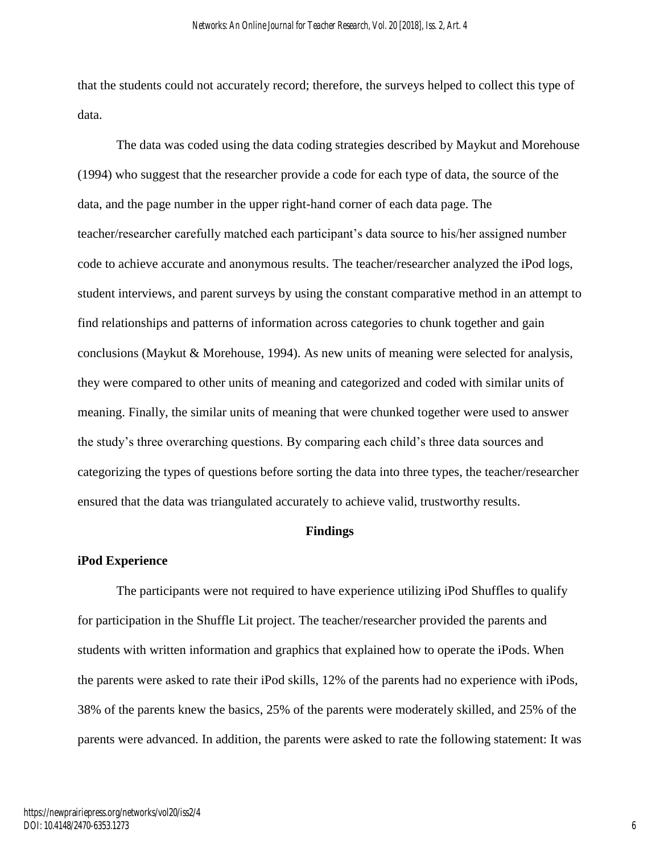that the students could not accurately record; therefore, the surveys helped to collect this type of data.

The data was coded using the data coding strategies described by Maykut and Morehouse (1994) who suggest that the researcher provide a code for each type of data, the source of the data, and the page number in the upper right-hand corner of each data page. The teacher/researcher carefully matched each participant's data source to his/her assigned number code to achieve accurate and anonymous results. The teacher/researcher analyzed the iPod logs, student interviews, and parent surveys by using the constant comparative method in an attempt to find relationships and patterns of information across categories to chunk together and gain conclusions (Maykut & Morehouse, 1994). As new units of meaning were selected for analysis, they were compared to other units of meaning and categorized and coded with similar units of meaning. Finally, the similar units of meaning that were chunked together were used to answer the study's three overarching questions. By comparing each child's three data sources and categorizing the types of questions before sorting the data into three types, the teacher/researcher ensured that the data was triangulated accurately to achieve valid, trustworthy results.

## **Findings**

#### **iPod Experience**

The participants were not required to have experience utilizing iPod Shuffles to qualify for participation in the Shuffle Lit project. The teacher/researcher provided the parents and students with written information and graphics that explained how to operate the iPods. When the parents were asked to rate their iPod skills, 12% of the parents had no experience with iPods, 38% of the parents knew the basics, 25% of the parents were moderately skilled, and 25% of the parents were advanced. In addition, the parents were asked to rate the following statement: It was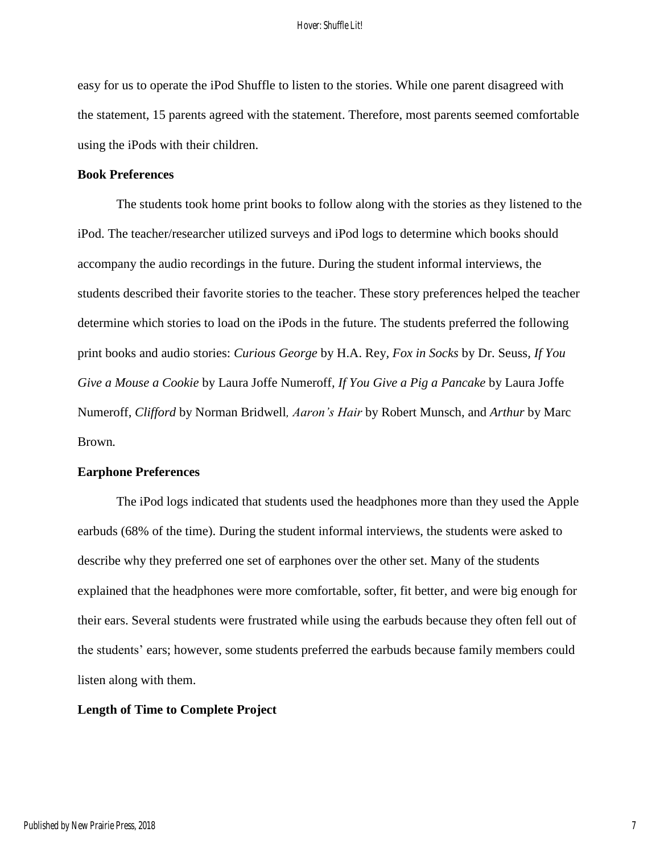easy for us to operate the iPod Shuffle to listen to the stories. While one parent disagreed with the statement, 15 parents agreed with the statement. Therefore, most parents seemed comfortable using the iPods with their children.

## **Book Preferences**

The students took home print books to follow along with the stories as they listened to the iPod. The teacher/researcher utilized surveys and iPod logs to determine which books should accompany the audio recordings in the future. During the student informal interviews, the students described their favorite stories to the teacher. These story preferences helped the teacher determine which stories to load on the iPods in the future. The students preferred the following print books and audio stories: *Curious George* by H.A. Rey*, Fox in Socks* by Dr. Seuss*, If You Give a Mouse a Cookie* by Laura Joffe Numeroff*, If You Give a Pig a Pancake* by Laura Joffe Numeroff, *Clifford* by Norman Bridwell*, Aaron's Hair* by Robert Munsch*,* and *Arthur* by Marc Brown*.* 

#### **Earphone Preferences**

The iPod logs indicated that students used the headphones more than they used the Apple earbuds (68% of the time). During the student informal interviews, the students were asked to describe why they preferred one set of earphones over the other set. Many of the students explained that the headphones were more comfortable, softer, fit better, and were big enough for their ears. Several students were frustrated while using the earbuds because they often fell out of the students' ears; however, some students preferred the earbuds because family members could listen along with them.

## **Length of Time to Complete Project**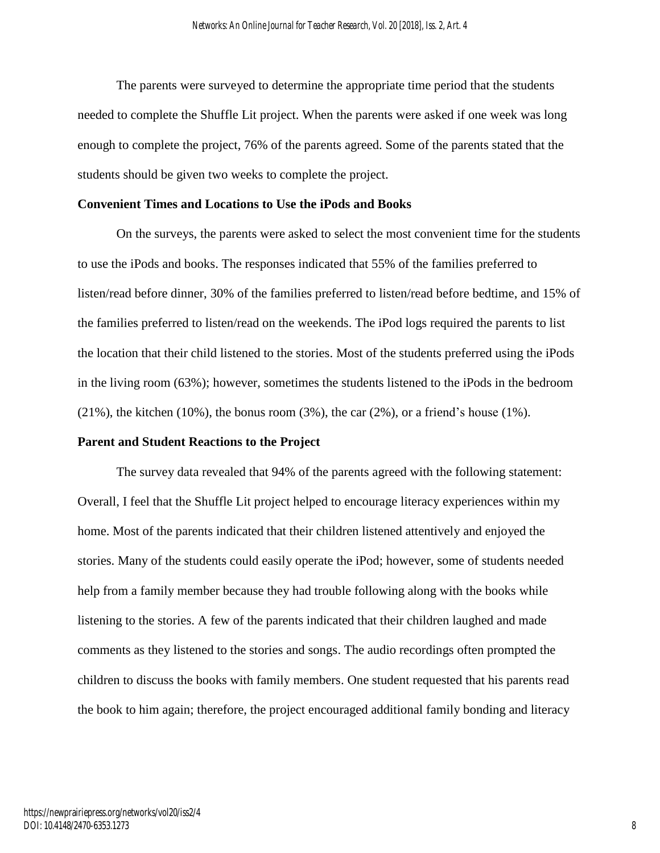The parents were surveyed to determine the appropriate time period that the students needed to complete the Shuffle Lit project. When the parents were asked if one week was long enough to complete the project, 76% of the parents agreed. Some of the parents stated that the students should be given two weeks to complete the project.

## **Convenient Times and Locations to Use the iPods and Books**

On the surveys, the parents were asked to select the most convenient time for the students to use the iPods and books. The responses indicated that 55% of the families preferred to listen/read before dinner, 30% of the families preferred to listen/read before bedtime, and 15% of the families preferred to listen/read on the weekends. The iPod logs required the parents to list the location that their child listened to the stories. Most of the students preferred using the iPods in the living room (63%); however, sometimes the students listened to the iPods in the bedroom  $(21\%)$ , the kitchen  $(10\%)$ , the bonus room  $(3\%)$ , the car  $(2\%)$ , or a friend's house  $(1\%)$ .

#### **Parent and Student Reactions to the Project**

The survey data revealed that 94% of the parents agreed with the following statement: Overall, I feel that the Shuffle Lit project helped to encourage literacy experiences within my home. Most of the parents indicated that their children listened attentively and enjoyed the stories. Many of the students could easily operate the iPod; however, some of students needed help from a family member because they had trouble following along with the books while listening to the stories. A few of the parents indicated that their children laughed and made comments as they listened to the stories and songs. The audio recordings often prompted the children to discuss the books with family members. One student requested that his parents read the book to him again; therefore, the project encouraged additional family bonding and literacy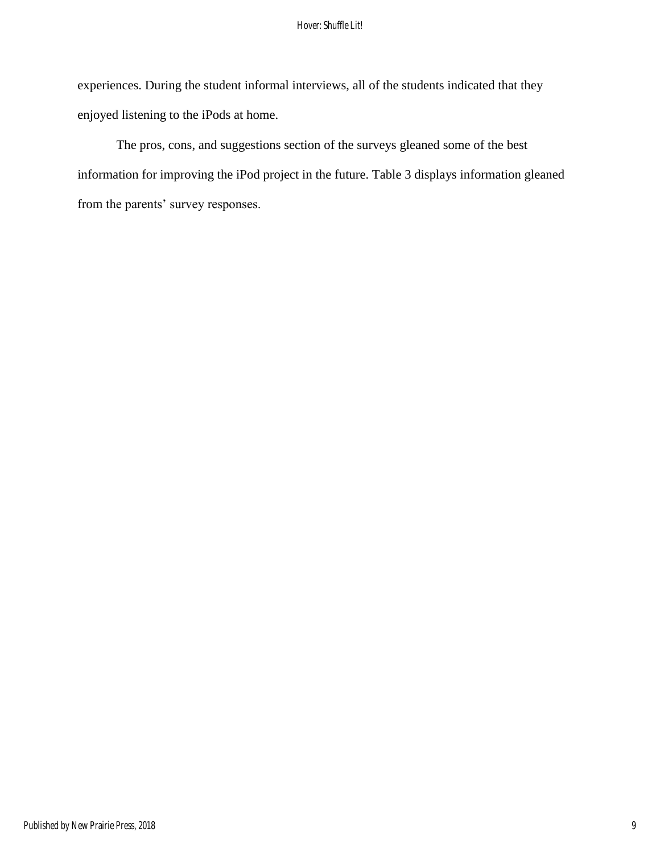experiences. During the student informal interviews, all of the students indicated that they enjoyed listening to the iPods at home.

The pros, cons, and suggestions section of the surveys gleaned some of the best information for improving the iPod project in the future. Table 3 displays information gleaned from the parents' survey responses.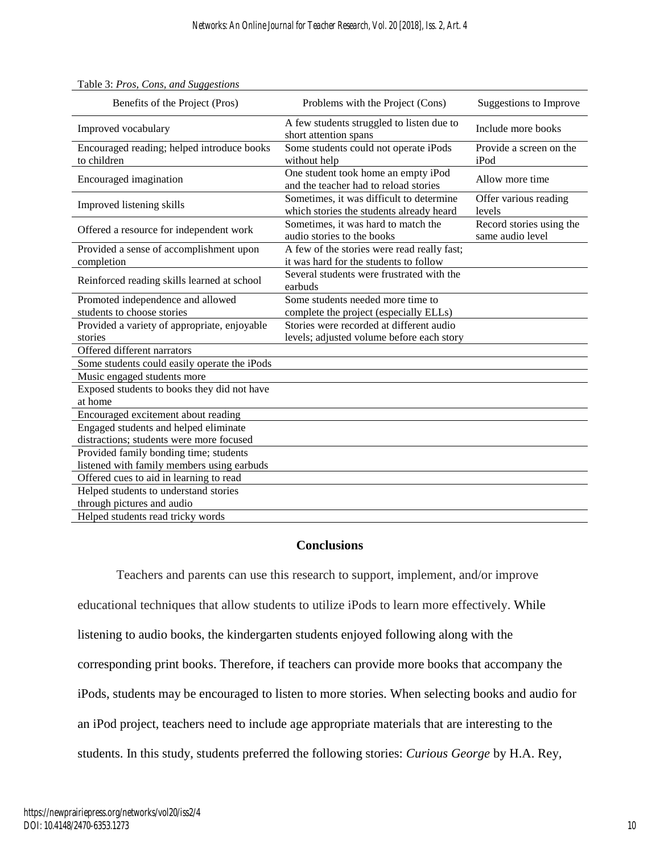| Benefits of the Project (Pros)                                  | Problems with the Project (Cons)                                                      | <b>Suggestions to Improve</b>                |
|-----------------------------------------------------------------|---------------------------------------------------------------------------------------|----------------------------------------------|
| Improved vocabulary                                             | A few students struggled to listen due to<br>short attention spans                    | Include more books                           |
| Encouraged reading; helped introduce books<br>to children       | Some students could not operate iPods<br>without help                                 | Provide a screen on the<br>iPod              |
| Encouraged imagination                                          | One student took home an empty iPod<br>and the teacher had to reload stories          | Allow more time                              |
| Improved listening skills                                       | Sometimes, it was difficult to determine<br>which stories the students already heard  | Offer various reading<br>levels              |
| Offered a resource for independent work                         | Sometimes, it was hard to match the<br>audio stories to the books                     | Record stories using the<br>same audio level |
| Provided a sense of accomplishment upon<br>completion           | A few of the stories were read really fast;<br>it was hard for the students to follow |                                              |
| Reinforced reading skills learned at school                     | Several students were frustrated with the<br>earbuds                                  |                                              |
| Promoted independence and allowed<br>students to choose stories | Some students needed more time to<br>complete the project (especially ELLs)           |                                              |
| Provided a variety of appropriate, enjoyable<br>stories         | Stories were recorded at different audio<br>levels; adjusted volume before each story |                                              |
| Offered different narrators                                     |                                                                                       |                                              |
| Some students could easily operate the iPods                    |                                                                                       |                                              |
| Music engaged students more                                     |                                                                                       |                                              |
| Exposed students to books they did not have<br>at home          |                                                                                       |                                              |
| Encouraged excitement about reading                             |                                                                                       |                                              |
| Engaged students and helped eliminate                           |                                                                                       |                                              |
| distractions; students were more focused                        |                                                                                       |                                              |
| Provided family bonding time; students                          |                                                                                       |                                              |
| listened with family members using earbuds                      |                                                                                       |                                              |
| Offered cues to aid in learning to read                         |                                                                                       |                                              |
| Helped students to understand stories                           |                                                                                       |                                              |
| through pictures and audio                                      |                                                                                       |                                              |
| Helped students read tricky words                               |                                                                                       |                                              |

#### Table 3: *Pros, Cons, and Suggestions*

## **Conclusions**

Teachers and parents can use this research to support, implement, and/or improve educational techniques that allow students to utilize iPods to learn more effectively. While listening to audio books, the kindergarten students enjoyed following along with the corresponding print books. Therefore, if teachers can provide more books that accompany the iPods, students may be encouraged to listen to more stories. When selecting books and audio for an iPod project, teachers need to include age appropriate materials that are interesting to the students. In this study, students preferred the following stories: *Curious George* by H.A. Rey*,*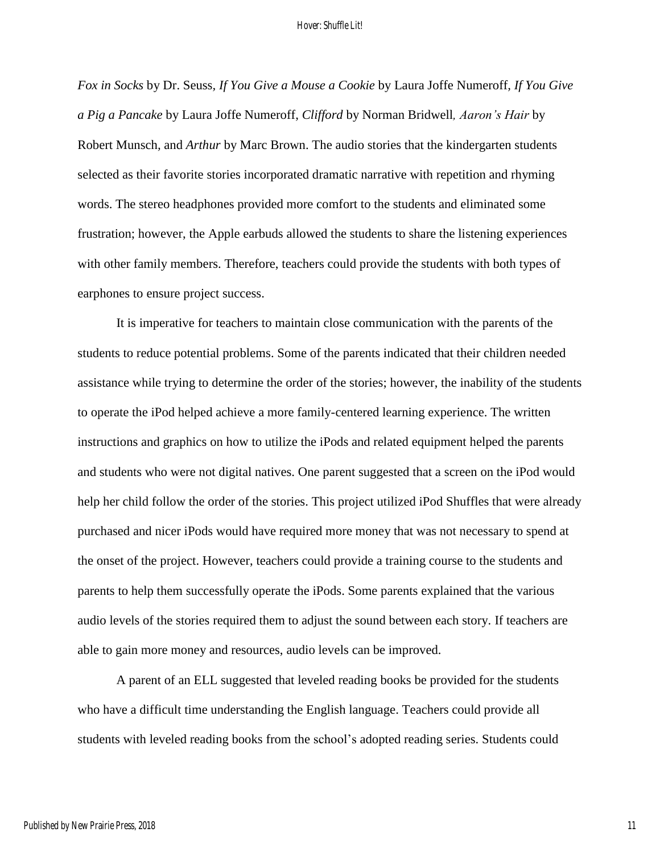*Fox in Socks* by Dr. Seuss*, If You Give a Mouse a Cookie* by Laura Joffe Numeroff*, If You Give a Pig a Pancake* by Laura Joffe Numeroff, *Clifford* by Norman Bridwell*, Aaron's Hair* by Robert Munsch*,* and *Arthur* by Marc Brown. The audio stories that the kindergarten students selected as their favorite stories incorporated dramatic narrative with repetition and rhyming words. The stereo headphones provided more comfort to the students and eliminated some frustration; however, the Apple earbuds allowed the students to share the listening experiences with other family members. Therefore, teachers could provide the students with both types of earphones to ensure project success.

It is imperative for teachers to maintain close communication with the parents of the students to reduce potential problems. Some of the parents indicated that their children needed assistance while trying to determine the order of the stories; however, the inability of the students to operate the iPod helped achieve a more family-centered learning experience. The written instructions and graphics on how to utilize the iPods and related equipment helped the parents and students who were not digital natives. One parent suggested that a screen on the iPod would help her child follow the order of the stories. This project utilized iPod Shuffles that were already purchased and nicer iPods would have required more money that was not necessary to spend at the onset of the project. However, teachers could provide a training course to the students and parents to help them successfully operate the iPods. Some parents explained that the various audio levels of the stories required them to adjust the sound between each story. If teachers are able to gain more money and resources, audio levels can be improved.

A parent of an ELL suggested that leveled reading books be provided for the students who have a difficult time understanding the English language. Teachers could provide all students with leveled reading books from the school's adopted reading series. Students could

11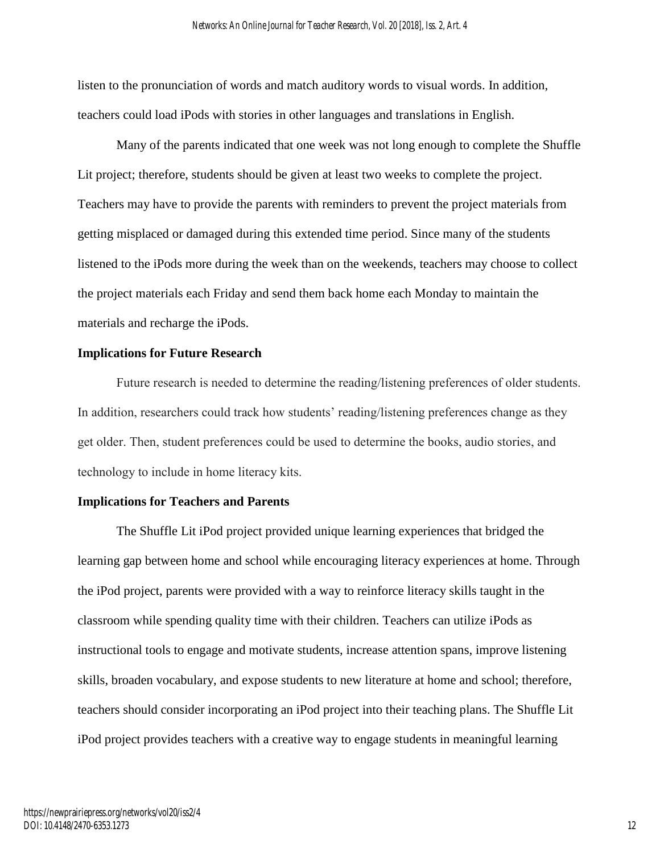listen to the pronunciation of words and match auditory words to visual words. In addition, teachers could load iPods with stories in other languages and translations in English.

Many of the parents indicated that one week was not long enough to complete the Shuffle Lit project; therefore, students should be given at least two weeks to complete the project. Teachers may have to provide the parents with reminders to prevent the project materials from getting misplaced or damaged during this extended time period. Since many of the students listened to the iPods more during the week than on the weekends, teachers may choose to collect the project materials each Friday and send them back home each Monday to maintain the materials and recharge the iPods.

## **Implications for Future Research**

**Future research is needed to determine the reading/listening preferences of older students. In addition, researchers could track how students' reading/listening preferences change as they get older. Then, student preferences could be used to determine the books, audio stories, and technology to include in home literacy kits.**

## **Implications for Teachers and Parents**

The Shuffle Lit iPod project provided unique learning experiences that bridged the learning gap between home and school while encouraging literacy experiences at home. Through the iPod project, parents were provided with a way to reinforce literacy skills taught in the classroom while spending quality time with their children. Teachers can utilize iPods as instructional tools to engage and motivate students, increase attention spans, improve listening skills, broaden vocabulary, and expose students to new literature at home and school; therefore, teachers should consider incorporating an iPod project into their teaching plans. The Shuffle Lit iPod project provides teachers with a creative way to engage students in meaningful learning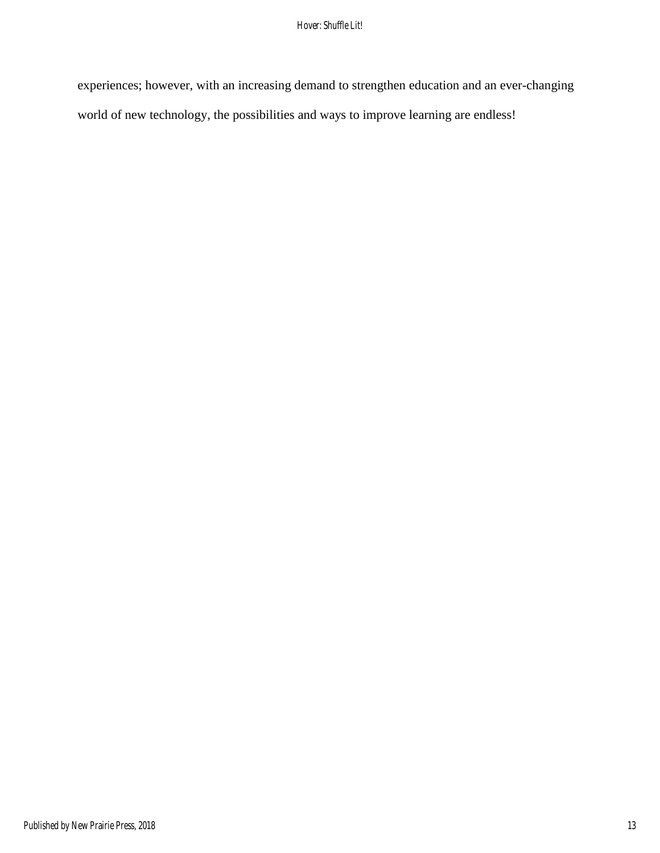experiences; however, with an increasing demand to strengthen education and an ever-changing world of new technology, the possibilities and ways to improve learning are endless!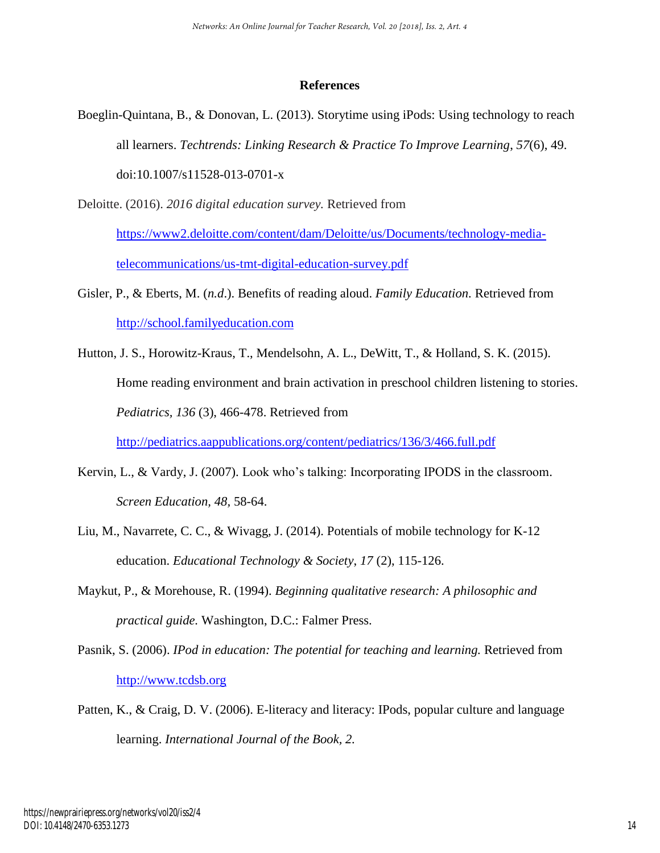## **References**

- Boeglin-Quintana, B., & Donovan, L. (2013). Storytime using iPods: Using technology to reach all learners. *Techtrends: Linking Research & Practice To Improve Learning*, *57*(6), 49. doi:10.1007/s11528-013-0701-x
- Deloitte. (2016). *2016 digital education survey.* Retrieved from

[https://www2.deloitte.com/content/dam/Deloitte/us/Documents/technology-media](https://www2.deloitte.com/content/dam/Deloitte/us/Documents/technology-media-telecommunications/us-tmt-digital-education-survey.pdf)[telecommunications/us-tmt-digital-education-survey.pdf](https://www2.deloitte.com/content/dam/Deloitte/us/Documents/technology-media-telecommunications/us-tmt-digital-education-survey.pdf)

- Gisler, P., & Eberts, M. (*n.d*.). Benefits of reading aloud. *Family Education.* Retrieved from [http://school.familyeducation.com](http://school.familyeducation.com/)
- Hutton, J. S., Horowitz-Kraus, T., Mendelsohn, A. L., DeWitt, T., & Holland, S. K. (2015). Home reading environment and brain activation in preschool children listening to stories. *Pediatrics, 136* (3), 466-478. Retrieved from

<http://pediatrics.aappublications.org/content/pediatrics/136/3/466.full.pdf>

- Kervin, L., & Vardy, J. (2007). Look who's talking: Incorporating IPODS in the classroom. *Screen Education, 48,* 58-64.
- Liu, M., Navarrete, C. C., & Wivagg, J. (2014). Potentials of mobile technology for K-12 education. *Educational Technology & Society*, *17* (2), 115-126.
- Maykut, P., & Morehouse, R. (1994). *Beginning qualitative research: A philosophic and practical guide.* Washington, D.C.: Falmer Press.
- Pasnik, S. (2006). *IPod in education: The potential for teaching and learning.* Retrieved from [http://www.tcdsb.org](http://www.tcdsb.org/)
- Patten, K., & Craig, D. V. (2006). E-literacy and literacy: IPods, popular culture and language learning. *International Journal of the Book, 2.*